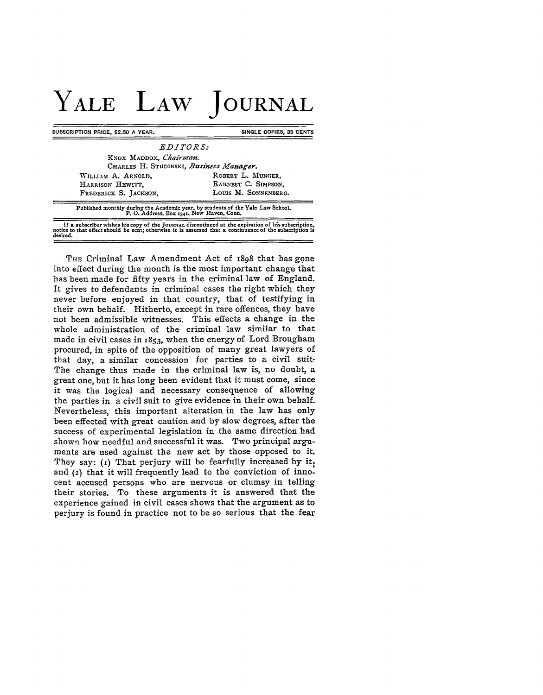## **YALE LAW JOURNAL**

**SUBSCRIPTION PRICE, \$2.50 A YEAR.** SINGLE COPIES, 35 CENTS

| KNOX MADDOX, Chairman.<br>CHARLES H. STUDINSKI, Business Manager. |                      |
|-------------------------------------------------------------------|----------------------|
| WILLIAM A. ARNOLD,                                                | ROBERT L. MUNGER.    |
| HARRISON HEWITT,                                                  | EARNEST C. SIMPSON.  |
| FREDERICK S. JACKSON,                                             | LOUIS M. SONNENBERG. |

Published **monthly during the Academic year, by students of the Yale** Law **School. P. 0. Address, Box** 1341, **New Haven, Conn.** If a subscriber wishes his copy of the Journal discontinued at the expiration of his subscription.<br>notice to that effect should be sent; otherwise it is assumed that a continuance of the subscription is<br>desired.

THE Criminal Law Amendment Act of 1898 that has gone into effect during the month is the most important change that has been made for fifty years in the criminal law of England. It gives to defendants in criminal cases the right which they never before enjoyed in that country, that of testifying in their own behalf. Hitherto, except in rare offences, they have not been admissible witnesses. This effects a change in the whole administration of the criminal law similar to that made in civil cases in 1853, when the energy of Lord Brougham procured, in spite of the opposition of many great lawyers of that day, a similar concession for parties to a civil suit-The change thus made in the criminal law is, no doubt, a great one, but it has long been evident that it must come, since it was the logical and necessary consequence of allowing the parties in a civil suit to give evidence in their own behalf. Nevertheless, this important alteration in the law has only been effected with great caution and by slow degrees, after the success of experimental legislation in the same direction had shown how needful and successful it was. Two principal arguments are used against the new act by those opposed to it. They say: (1) That perjury will be fearfully increased by it. and **(2)** that it will frequently lead to the conviction of innocent accused persons who are nervous or clumsy in telling their stories. To these arguments it is answered that the experience gained in civil cases shows that the argument as to perjury is found in practice not to be so serious that the fear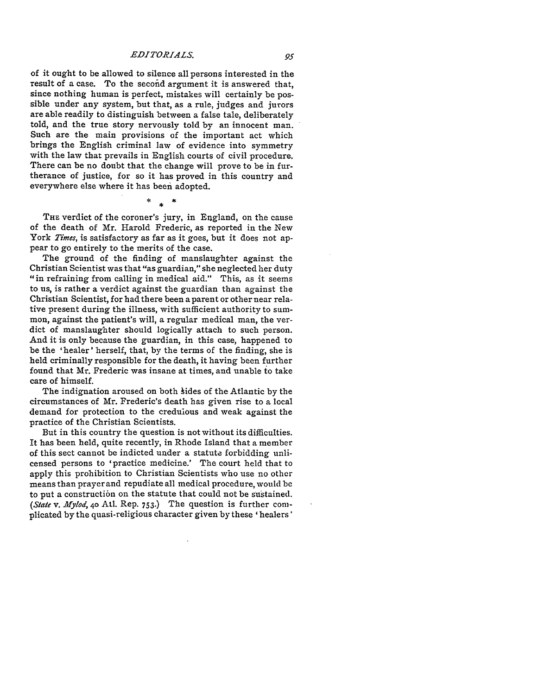of it ought to be allowed to silence all persons interested in the result of a case. To the second argument it is answered that, since nothing human is perfect, mistakes will certainly be possible under any system, but that, as a rule, judges and jurors are able readily to distinguish between a false tale, deliberately told, and the true story nervously told by an innocent man. Such are the main provisions of the important act which brings the English criminal law of evidence into symmetry with the law that prevails in English courts of civil procedure. There can be no doubt that the change will prove to be in furtherance of justice, for so it has proved in this country and everywhere else where it has been adopted.

 $\ast$ 

**THE** verdict of the coroner's jury, in England, on the cause of the death of Mr. Harold Frederic, as reported in the New York Times, is satisfactory as far as it goes, but it does not appear to go entirely to the merits of the case.

The ground of the finding of manslaughter against the Christian Scientist was that "as guardian," she neglected her duty "in refraining from calling in medical aid." This, as it seems to us, is rather a verdict against the guardian than against the Christian Scientist, for had there been a parent or other near relative present during the illness, with sufficient authority to summon, against the patient's will, a regular medical man, the verdict of manslaughter should logically attach to such person. And it is only because the guardian, in this case, happened to be the 'healer' herself, that, **by** the terms of the finding, she is held criminally responsible for the death, it having been further found that Mr. Frederic was insane at times, and unable to take care of himself.

The indignation aroused on both hides of the Atlantic **by** the circumstances of Mr. Frederic's death has given rise to a local demand for protection to the credulous and weak against the practice of the Christian Scientists.

But in this country the question is not without its difficulties. It has been held, quite recently, in Rhode Island that a member of this sect cannot be indicted under a statute forbidding unlicensed persons to 'practice medicine.' The court held that to apply this prohibition to Christian Scientists who use no other means than prayer and repudiate all medical procedure, would be to put a construction on the statute that could not be sustained. *(State v. AIfyiod,* **40** Atl. Rep. **753.)** The question is further complicated **by** the quasi-religious character given **by** these **'** healers'